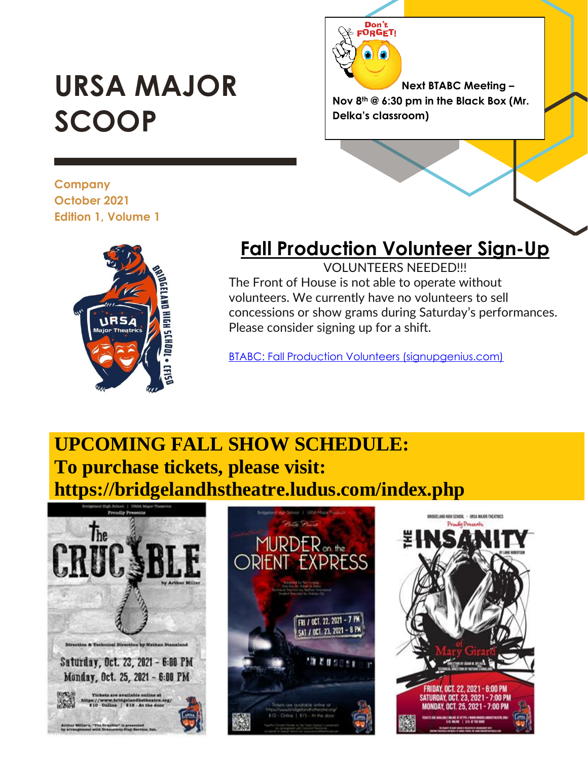# **URSA MAJOR SCOOP**

**Next BTABC Meeting – Nov 8th @ 6:30 pm in the Black Box (Mr. Delka's classroom)**

**Company October 2021 Edition 1, Volume 1**



## **Fall Production Volunteer Sign-Up**

Don't<br>FORGET!

VOLUNTEERS NEEDED!!! The Front of House is not able to operate without volunteers. We currently have no volunteers to sell concessions or show grams during Saturday's performances. Please consider signing up for a shift.

[BTABC: Fall Production Volunteers \(signupgenius.com\)](https://www.signupgenius.com/go/409044eaaa823a02-fall2)

## **UPCOMING FALL SHOW SCHEDULE: To purchase tickets, please visit: https://bridgelandhstheatre.ludus.com/index.php**





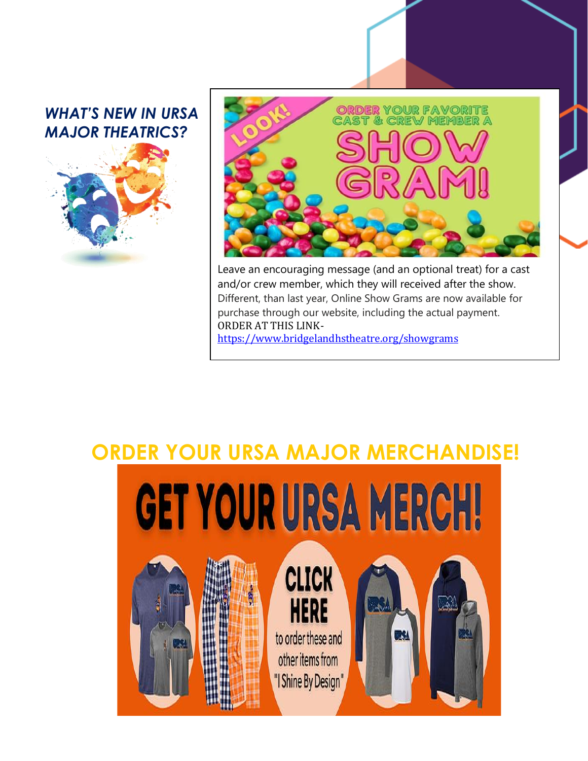#### *WHAT'S NEW IN URSA MAJOR THEATRICS?*





Leave an encouraging message (and an optional treat) for a cast and/or crew member, which they will received after the show. Different, than last year, Online Show Grams are now available for purchase through our website, including the actual payment. ORDER AT THIS LINK[https://www.bridgelandhstheatre.org/showgrams](https://www.bridgelandhstheatre.org/showgrams?fbclid=IwAR2CNLe18__BRns5gYafpwhJOvMiVXXqVZrdAWPNHhAdYDTfnml08fIKJWM)

# **ORDER YOUR URSA MAJOR MERCHANDISE!**